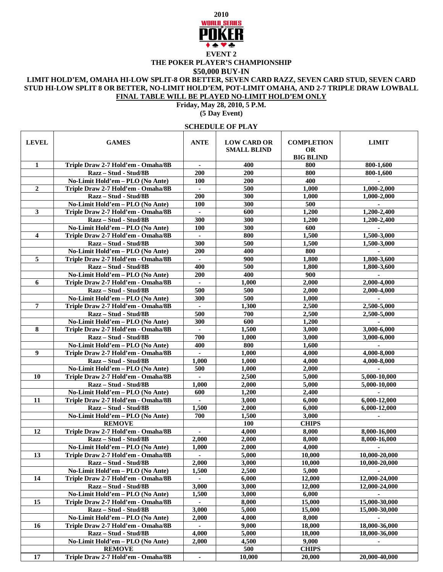

## **THE POKER PLAYER'S CHAMPIONSHIP \$50,000 BUY-IN**

## **LIMIT HOLD'EM, OMAHA HI-LOW SPLIT-8 OR BETTER, SEVEN CARD RAZZ, SEVEN CARD STUD, SEVEN CARD STUD HI-LOW SPLIT 8 OR BETTER, NO-LIMIT HOLD'EM, POT-LIMIT OMAHA, AND 2-7 TRIPLE DRAW LOWBALL FINAL TABLE WILL BE PLAYED NO-LIMIT HOLD'EM ONLY**

## **Friday, May 28, 2010, 5 P.M.**

**(5 Day Event)**

## **SCHEDULE OF PLAY**

| <b>LEVEL</b>   | <b>GAMES</b>                                                           | <b>ANTE</b>             | <b>LOW CARD OR</b><br><b>SMALL BLIND</b> | <b>COMPLETION</b><br><b>OR</b><br><b>BIG BLIND</b> | <b>LIMIT</b>                 |
|----------------|------------------------------------------------------------------------|-------------------------|------------------------------------------|----------------------------------------------------|------------------------------|
| 1              | Triple Draw 2-7 Hold'em - Omaha/8B                                     | $\blacksquare$          | 400                                      | 800                                                | 800-1,600                    |
|                | Razz - Stud - Stud/8B                                                  | 200                     | 200                                      | 800                                                | 800-1,600                    |
|                | No-Limit Hold'em - PLO (No Ante)                                       | <b>100</b>              | 200                                      | 400                                                |                              |
| $\overline{2}$ | Triple Draw 2-7 Hold'em - Omaha/8B                                     | $\bullet$               | 500                                      | 1,000                                              | 1,000-2,000                  |
|                | Razz - Stud - Stud/8B                                                  | 200                     | 300                                      | 1,000                                              | 1,000-2,000                  |
|                | No-Limit Hold'em - PLO (No Ante)                                       | 100                     | 300                                      | 500                                                |                              |
| $\mathbf{3}$   | Triple Draw 2-7 Hold'em - Omaha/8B                                     |                         | 600                                      | 1,200                                              | 1,200-2,400                  |
|                | Razz - Stud - Stud/8B                                                  | 300                     | 300                                      | 1,200                                              | 1,200-2,400                  |
|                | No-Limit Hold'em - PLO (No Ante)                                       | 100                     | 300                                      | 600                                                |                              |
| 4              | Triple Draw 2-7 Hold'em - Omaha/8B                                     |                         | 800                                      | 1,500                                              | 1,500-3,000                  |
|                | Razz – Stud - Stud/8B                                                  | 300                     | 500                                      | 1,500                                              | 1,500-3,000                  |
|                | No-Limit Hold'em - PLO (No Ante)                                       | 200                     | 400                                      | 800                                                |                              |
| 5              | Triple Draw 2-7 Hold'em - Omaha/8B                                     | a.                      | 900                                      | 1,800                                              | 1,800-3,600                  |
|                | Razz – Stud - Stud/8B                                                  | 400                     | 500                                      | 1,800                                              | 1,800-3,600                  |
|                |                                                                        | <b>200</b>              | 400                                      | 900                                                |                              |
| 6              | No-Limit Hold'em - PLO (No Ante)<br>Triple Draw 2-7 Hold'em - Omaha/8B |                         | 1,000                                    | 2,000                                              |                              |
|                | Razz - Stud - Stud/8B                                                  | 500                     | 500                                      | 2,000                                              | 2,000-4,000<br>2,000-4,000   |
|                |                                                                        | 300                     | 500                                      |                                                    |                              |
| 7              | No-Limit Hold'em - PLO (No Ante)<br>Triple Draw 2-7 Hold'em - Omaha/8B |                         |                                          | 1,000<br>2,500                                     | 2,500-5,000                  |
|                |                                                                        | $\blacksquare$          | 1,300                                    |                                                    |                              |
|                | Razz - Stud - Stud/8B                                                  | 500<br>300              | 700                                      | 2,500<br>1,200                                     | 2,500-5,000                  |
|                | No-Limit Hold'em - PLO (No Ante)                                       |                         | 600                                      |                                                    | $\sim$                       |
| 8              | Triple Draw 2-7 Hold'em - Omaha/8B                                     | $\blacksquare$<br>700   | 1,500<br>1,000                           | 3,000                                              | 3,000-6,000<br>3,000-6,000   |
|                | Razz - Stud - Stud/8B                                                  | 400                     | 800                                      | 3,000                                              |                              |
| 9              | No-Limit Hold'em - PLO (No Ante)                                       |                         | 1,000                                    | 1,600<br>4,000                                     | 4,000-8,000                  |
|                | Triple Draw 2-7 Hold'em - Omaha/8B                                     | $\blacksquare$<br>1,000 | 1,000                                    | 4,000                                              | 4,000-8,000                  |
|                | Razz - Stud - Stud/8B<br>No-Limit Hold'em - PLO (No Ante)              | 500                     | 1,000                                    | 2,000                                              |                              |
| 10             | Triple Draw 2-7 Hold'em - Omaha/8B                                     |                         |                                          | 5,000                                              |                              |
|                | Razz - Stud - Stud/8B                                                  | 1,000                   | 2,500<br>2,000                           | 5,000                                              | 5,000-10,000<br>5,000-10,000 |
|                | No-Limit Hold'em - PLO (No Ante)                                       | 600                     | 1,200                                    | 2,400                                              |                              |
| 11             | Triple Draw 2-7 Hold'em - Omaha/8B                                     | $\mathbf{r}$            | 3,000                                    | 6,000                                              | 6,000-12,000                 |
|                | Razz - Stud - Stud/8B                                                  | 1,500                   | 2,000                                    | 6,000                                              | 6,000-12,000                 |
|                |                                                                        | 700                     |                                          |                                                    |                              |
|                | No-Limit Hold'em - PLO (No Ante)                                       |                         | 1,500<br>100                             | 3,000<br><b>CHIPS</b>                              |                              |
| 12             | <b>REMOVE</b><br>Triple Draw 2-7 Hold'em - Omaha/8B                    |                         | 4,000                                    | 8,000                                              | 8,000-16,000                 |
|                | Razz - Stud - Stud/8B                                                  | $\blacksquare$<br>2,000 | 2.000                                    | 8,000                                              | 8,000-16,000                 |
|                | No-Limit Hold'em - PLO (No Ante)                                       | 1,000                   | 2,000                                    | 4,000                                              |                              |
| 13             | Triple Draw 2-7 Hold'em - Omaha/8B                                     |                         | 5,000                                    | 10,000                                             | 10,000-20,000                |
|                | Razz - Stud - Stud/8B                                                  | 2,000                   | 3,000                                    | 10,000                                             | 10,000-20,000                |
|                | No-Limit Hold'em - PLO (No Ante)                                       | 1,500                   | 2,500                                    | 5,000                                              |                              |
| 14             | Triple Draw 2-7 Hold'em - Omaha/8B                                     |                         | 6,000                                    | 12,000                                             | 12,000-24,000                |
|                | Razz - Stud - Stud/8B                                                  | 3,000                   | 3,000                                    | 12,000                                             | 12,000-24,000                |
|                | No-Limit Hold'em - PLO (No Ante)                                       | 1,500                   | 3,000                                    | 6,000                                              |                              |
| 15             | Triple Draw 2-7 Hold'em - Omaha/8B                                     |                         | 8,000                                    | 15,000                                             | 15,000-30,000                |
|                | Razz - Stud - Stud/8B                                                  | 3,000                   | 5,000                                    | 15,000                                             | 15,000-30,000                |
|                | No-Limit Hold'em - PLO (No Ante)                                       | 2,000                   | 4,000                                    | 8,000                                              |                              |
| 16             | Triple Draw 2-7 Hold'em - Omaha/8B                                     |                         | 9,000                                    | 18,000                                             | 18,000-36,000                |
|                | Razz - Stud - Stud/8B                                                  | 4,000                   | 5,000                                    | 18,000                                             | 18,000-36,000                |
|                | No-Limit Hold'em - PLO (No Ante)                                       | 2.000                   | 4,500                                    | 9,000                                              |                              |
|                | <b>REMOVE</b>                                                          |                         | 500                                      | <b>CHIPS</b>                                       |                              |
| 17             | Triple Draw 2-7 Hold'em - Omaha/8B                                     | $\blacksquare$          | 10,000                                   | 20,000                                             | 20,000-40,000                |
|                |                                                                        |                         |                                          |                                                    |                              |